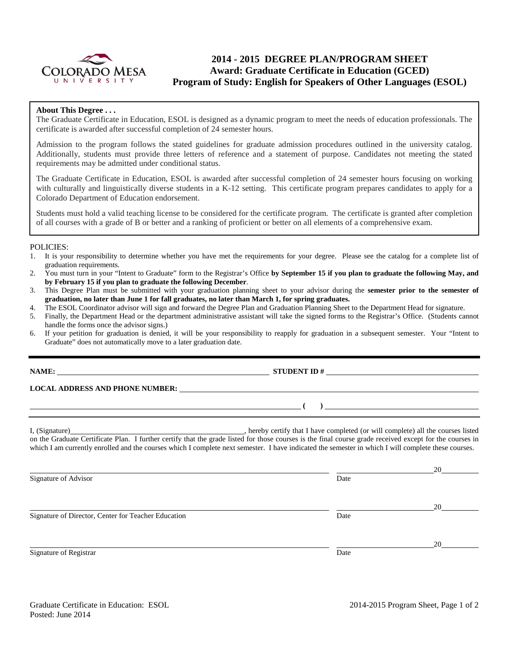

# **2014 - 2015 DEGREE PLAN/PROGRAM SHEET Award: Graduate Certificate in Education (GCED) Program of Study: English for Speakers of Other Languages (ESOL)**

### **About This Degree . . .**

The Graduate Certificate in Education, ESOL is designed as a dynamic program to meet the needs of education professionals. The certificate is awarded after successful completion of 24 semester hours.

Admission to the program follows the stated guidelines for graduate admission procedures outlined in the university catalog. Additionally, students must provide three letters of reference and a statement of purpose. Candidates not meeting the stated requirements may be admitted under conditional status.

The Graduate Certificate in Education, ESOL is awarded after successful completion of 24 semester hours focusing on working with culturally and linguistically diverse students in a K-12 setting. This certificate program prepares candidates to apply for a Colorado Department of Education endorsement.

Students must hold a valid teaching license to be considered for the certificate program. The certificate is granted after completion of all courses with a grade of B or better and a ranking of proficient or better on all elements of a comprehensive exam.

#### POLICIES:

- 1. It is your responsibility to determine whether you have met the requirements for your degree. Please see the catalog for a complete list of graduation requirements.
- 2. You must turn in your "Intent to Graduate" form to the Registrar's Office **by September 15 if you plan to graduate the following May, and by February 15 if you plan to graduate the following December**.
- 3. This Degree Plan must be submitted with your graduation planning sheet to your advisor during the **semester prior to the semester of graduation, no later than June 1 for fall graduates, no later than March 1, for spring graduates.**
- 4. The ESOL Coordinator advisor will sign and forward the Degree Plan and Graduation Planning Sheet to the Department Head for signature.
- 5. Finally, the Department Head or the department administrative assistant will take the signed forms to the Registrar's Office. (Students cannot handle the forms once the advisor signs.)
- 6. If your petition for graduation is denied, it will be your responsibility to reapply for graduation in a subsequent semester. Your "Intent to Graduate" does not automatically move to a later graduation date.

**NAME: STUDENT ID #** 

**LOCAL ADDRESS AND PHONE NUMBER:**

I, (Signature) , hereby certify that I have completed (or will complete) all the courses listed on the Graduate Certificate Plan. I further certify that the grade listed for those courses is the final course grade received except for the courses in which I am currently enrolled and the courses which I complete next semester. I have indicated the semester in which I will complete these courses.

 20 Signature of Advisor Date 20 Signature of Director, Center for Teacher Education Date 20 Signature of Registrar Date Date and Security and Security and Security and Security and Security and Security and Security and Security and Security and Security and Security and Security and Security and Security and Sec

**( )**